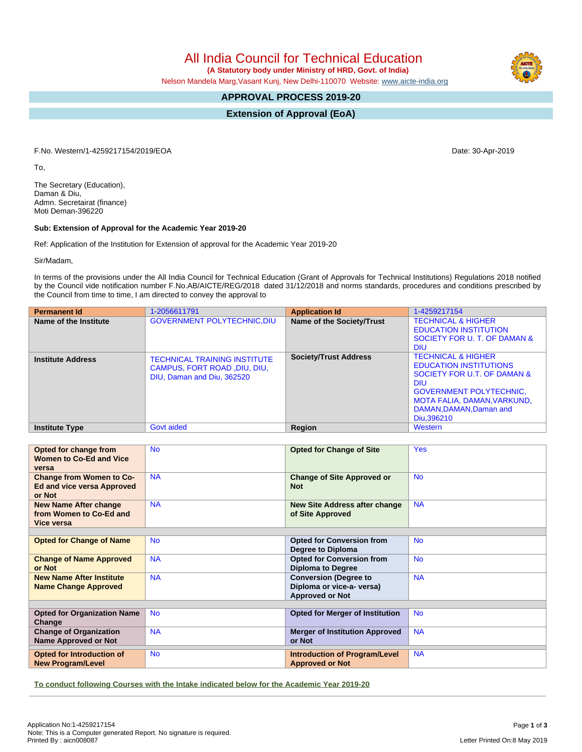All India Council for Technical Education

 **(A Statutory body under Ministry of HRD, Govt. of India)**

Nelson Mandela Marg,Vasant Kunj, New Delhi-110070 Website: [www.aicte-india.org](http://www.aicte-india.org)

## **APPROVAL PROCESS 2019-20**

**Extension of Approval (EoA)**

F.No. Western/1-4259217154/2019/EOA Date: 30-Apr-2019

To,

The Secretary (Education), Daman & Diu, Admn. Secretairat (finance) Moti Deman-396220

## **Sub: Extension of Approval for the Academic Year 2019-20**

Ref: Application of the Institution for Extension of approval for the Academic Year 2019-20

Sir/Madam,

In terms of the provisions under the All India Council for Technical Education (Grant of Approvals for Technical Institutions) Regulations 2018 notified by the Council vide notification number F.No.AB/AICTE/REG/2018 dated 31/12/2018 and norms standards, procedures and conditions prescribed by the Council from time to time, I am directed to convey the approval to

| <b>Permanent Id</b>      | 1-2056611791                                                                                      | <b>Application Id</b>        | 1-4259217154                                                                                                                                                                                                        |
|--------------------------|---------------------------------------------------------------------------------------------------|------------------------------|---------------------------------------------------------------------------------------------------------------------------------------------------------------------------------------------------------------------|
| Name of the Institute    | <b>GOVERNMENT POLYTECHNIC, DIU</b>                                                                | Name of the Society/Trust    | <b>TECHNICAL &amp; HIGHER</b><br><b>EDUCATION INSTITUTION</b><br>SOCIETY FOR U. T. OF DAMAN &<br><b>DIU</b>                                                                                                         |
| <b>Institute Address</b> | <b>TECHNICAL TRAINING INSTITUTE</b><br>CAMPUS, FORT ROAD, DIU, DIU,<br>DIU, Daman and Diu, 362520 | <b>Society/Trust Address</b> | <b>TECHNICAL &amp; HIGHER</b><br><b>EDUCATION INSTITUTIONS</b><br>SOCIETY FOR U.T. OF DAMAN &<br><b>DIU</b><br><b>GOVERNMENT POLYTECHNIC,</b><br>MOTA FALIA, DAMAN, VARKUND,<br>DAMAN.DAMAN.Daman and<br>Diu.396210 |
| <b>Institute Type</b>    | Govt aided                                                                                        | Region                       | Western                                                                                                                                                                                                             |

| Opted for change from<br>Women to Co-Ed and Vice<br>versa                      | <b>No</b> | <b>Opted for Change of Site</b>                                                     | <b>Yes</b> |
|--------------------------------------------------------------------------------|-----------|-------------------------------------------------------------------------------------|------------|
| <b>Change from Women to Co-</b><br><b>Ed and vice versa Approved</b><br>or Not | <b>NA</b> | <b>Change of Site Approved or</b><br><b>Not</b>                                     | <b>No</b>  |
| <b>New Name After change</b><br>from Women to Co-Ed and<br>Vice versa          | <b>NA</b> | New Site Address after change<br>of Site Approved                                   | <b>NA</b>  |
|                                                                                |           |                                                                                     |            |
| <b>Opted for Change of Name</b>                                                | <b>No</b> | <b>Opted for Conversion from</b><br>Degree to Diploma                               | <b>No</b>  |
| <b>Change of Name Approved</b><br>or Not                                       | <b>NA</b> | <b>Opted for Conversion from</b><br><b>Diploma to Degree</b>                        | <b>No</b>  |
| <b>New Name After Institute</b><br><b>Name Change Approved</b>                 | <b>NA</b> | <b>Conversion (Degree to</b><br>Diploma or vice-a- versa)<br><b>Approved or Not</b> | <b>NA</b>  |
|                                                                                |           |                                                                                     |            |
| <b>Opted for Organization Name</b><br>Change                                   | <b>No</b> | <b>Opted for Merger of Institution</b>                                              | <b>No</b>  |
| <b>Change of Organization</b><br><b>Name Approved or Not</b>                   | <b>NA</b> | <b>Merger of Institution Approved</b><br>or Not                                     | <b>NA</b>  |
| Opted for Introduction of<br><b>New Program/Level</b>                          | <b>No</b> | <b>Introduction of Program/Level</b><br><b>Approved or Not</b>                      | <b>NA</b>  |

**To conduct following Courses with the Intake indicated below for the Academic Year 2019-20**

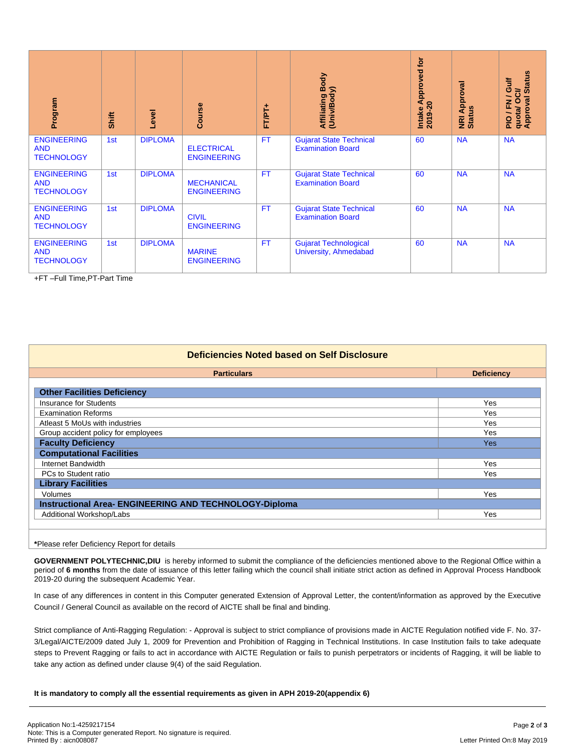| Program                                                                                        | <b>Shift</b> | Level          | Course                                                                                                                                                            | FT/PT+    | Affiliating Body<br>(Univ/Body)                                                                                                                                                                                                                                                                                                                                                                                                                                                                                                                                                                                                                                                                                                                                                                                                                                                                                                                                                                                                                     | Intake Approved for<br>2019-20 | <b>NRI Approval</b><br>Status | PIO / FN / Gulf<br>quota/ OCI/<br>Approval Status |
|------------------------------------------------------------------------------------------------|--------------|----------------|-------------------------------------------------------------------------------------------------------------------------------------------------------------------|-----------|-----------------------------------------------------------------------------------------------------------------------------------------------------------------------------------------------------------------------------------------------------------------------------------------------------------------------------------------------------------------------------------------------------------------------------------------------------------------------------------------------------------------------------------------------------------------------------------------------------------------------------------------------------------------------------------------------------------------------------------------------------------------------------------------------------------------------------------------------------------------------------------------------------------------------------------------------------------------------------------------------------------------------------------------------------|--------------------------------|-------------------------------|---------------------------------------------------|
| <b>ENGINEERING</b><br><b>AND</b><br><b>TECHNOLOGY</b>                                          | 1st          | <b>DIPLOMA</b> | <b>ELECTRICAL</b><br><b>ENGINEERING</b>                                                                                                                           | FT        | <b>Gujarat State Technical</b><br><b>Examination Board</b>                                                                                                                                                                                                                                                                                                                                                                                                                                                                                                                                                                                                                                                                                                                                                                                                                                                                                                                                                                                          | 60                             | <b>NA</b>                     | <b>NA</b>                                         |
| <b>ENGINEERING</b><br><b>AND</b><br><b>TECHNOLOGY</b>                                          | 1st          | <b>DIPLOMA</b> | <b>MECHANICAL</b><br><b>ENGINEERING</b>                                                                                                                           | <b>FT</b> | <b>Gujarat State Technical</b><br><b>Examination Board</b>                                                                                                                                                                                                                                                                                                                                                                                                                                                                                                                                                                                                                                                                                                                                                                                                                                                                                                                                                                                          | 60                             | <b>NA</b>                     | <b>NA</b>                                         |
| <b>ENGINEERING</b><br><b>AND</b><br><b>TECHNOLOGY</b>                                          | 1st          | <b>DIPLOMA</b> | <b>CIVIL</b><br><b>ENGINEERING</b>                                                                                                                                | <b>FT</b> | <b>Gujarat State Technical</b><br><b>Examination Board</b>                                                                                                                                                                                                                                                                                                                                                                                                                                                                                                                                                                                                                                                                                                                                                                                                                                                                                                                                                                                          | 60                             | <b>NA</b>                     | <b>NA</b>                                         |
| <b>ENGINEERING</b><br><b>AND</b><br><b>TECHNOLOGY</b>                                          | 1st          | <b>DIPLOMA</b> | <b>MARINE</b><br><b>ENGINEERING</b>                                                                                                                               | <b>FT</b> | <b>Gujarat Technological</b><br><b>University, Ahmedabad</b>                                                                                                                                                                                                                                                                                                                                                                                                                                                                                                                                                                                                                                                                                                                                                                                                                                                                                                                                                                                        | 60                             | <b>NA</b>                     | <b>NA</b>                                         |
|                                                                                                |              |                |                                                                                                                                                                   |           |                                                                                                                                                                                                                                                                                                                                                                                                                                                                                                                                                                                                                                                                                                                                                                                                                                                                                                                                                                                                                                                     |                                |                               |                                                   |
|                                                                                                |              |                |                                                                                                                                                                   |           | <b>Deficiencies Noted based on Self Disclosure</b>                                                                                                                                                                                                                                                                                                                                                                                                                                                                                                                                                                                                                                                                                                                                                                                                                                                                                                                                                                                                  |                                |                               |                                                   |
|                                                                                                |              |                | <b>Particulars</b>                                                                                                                                                |           |                                                                                                                                                                                                                                                                                                                                                                                                                                                                                                                                                                                                                                                                                                                                                                                                                                                                                                                                                                                                                                                     |                                | <b>Deficiency</b>             |                                                   |
| <b>Other Facilities Deficiency</b>                                                             |              |                |                                                                                                                                                                   |           |                                                                                                                                                                                                                                                                                                                                                                                                                                                                                                                                                                                                                                                                                                                                                                                                                                                                                                                                                                                                                                                     |                                |                               |                                                   |
| <b>Insurance for Students</b>                                                                  |              |                |                                                                                                                                                                   |           | Yes<br>Yes                                                                                                                                                                                                                                                                                                                                                                                                                                                                                                                                                                                                                                                                                                                                                                                                                                                                                                                                                                                                                                          |                                |                               |                                                   |
| <b>Examination Reforms</b><br>Atleast 5 MoUs with industries                                   |              |                |                                                                                                                                                                   |           | Yes                                                                                                                                                                                                                                                                                                                                                                                                                                                                                                                                                                                                                                                                                                                                                                                                                                                                                                                                                                                                                                                 |                                |                               |                                                   |
| Group accident policy for employees                                                            |              |                |                                                                                                                                                                   |           | Yes                                                                                                                                                                                                                                                                                                                                                                                                                                                                                                                                                                                                                                                                                                                                                                                                                                                                                                                                                                                                                                                 |                                |                               |                                                   |
| <b>Faculty Deficiency</b><br><b>Computational Facilities</b>                                   |              |                |                                                                                                                                                                   |           | Yes                                                                                                                                                                                                                                                                                                                                                                                                                                                                                                                                                                                                                                                                                                                                                                                                                                                                                                                                                                                                                                                 |                                |                               |                                                   |
| Internet Bandwidth                                                                             |              |                |                                                                                                                                                                   |           |                                                                                                                                                                                                                                                                                                                                                                                                                                                                                                                                                                                                                                                                                                                                                                                                                                                                                                                                                                                                                                                     |                                | Yes                           |                                                   |
| PCs to Student ratio                                                                           |              |                |                                                                                                                                                                   |           | Yes                                                                                                                                                                                                                                                                                                                                                                                                                                                                                                                                                                                                                                                                                                                                                                                                                                                                                                                                                                                                                                                 |                                |                               |                                                   |
| <b>Library Facilities</b><br>Volumes                                                           |              |                |                                                                                                                                                                   |           |                                                                                                                                                                                                                                                                                                                                                                                                                                                                                                                                                                                                                                                                                                                                                                                                                                                                                                                                                                                                                                                     |                                | Yes                           |                                                   |
| Instructional Area- ENGINEERING AND TECHNOLOGY-Diploma                                         |              |                |                                                                                                                                                                   |           |                                                                                                                                                                                                                                                                                                                                                                                                                                                                                                                                                                                                                                                                                                                                                                                                                                                                                                                                                                                                                                                     |                                |                               |                                                   |
| Additional Workshop/Labs                                                                       |              |                |                                                                                                                                                                   |           | Yes                                                                                                                                                                                                                                                                                                                                                                                                                                                                                                                                                                                                                                                                                                                                                                                                                                                                                                                                                                                                                                                 |                                |                               |                                                   |
|                                                                                                |              |                |                                                                                                                                                                   |           |                                                                                                                                                                                                                                                                                                                                                                                                                                                                                                                                                                                                                                                                                                                                                                                                                                                                                                                                                                                                                                                     |                                |                               |                                                   |
| *Please refer Deficiency Report for details                                                    |              |                |                                                                                                                                                                   |           |                                                                                                                                                                                                                                                                                                                                                                                                                                                                                                                                                                                                                                                                                                                                                                                                                                                                                                                                                                                                                                                     |                                |                               |                                                   |
| 2019-20 during the subsequent Academic Year.                                                   |              |                | Council / General Council as available on the record of AICTE shall be final and binding.<br>take any action as defined under clause 9(4) of the said Regulation. |           | GOVERNMENT POLYTECHNIC, DIU is hereby informed to submit the compliance of the deficiencies mentioned above to the Regional Office within a<br>period of 6 months from the date of issuance of this letter failing which the council shall initiate strict action as defined in Approval Process Handbook<br>In case of any differences in content in this Computer generated Extension of Approval Letter, the content/information as approved by the Executive<br>Strict compliance of Anti-Ragging Regulation: - Approval is subject to strict compliance of provisions made in AICTE Regulation notified vide F. No. 37-<br>3/Legal/AICTE/2009 dated July 1, 2009 for Prevention and Prohibition of Ragging in Technical Institutions. In case Institution fails to take adequate<br>steps to Prevent Ragging or fails to act in accordance with AICTE Regulation or fails to punish perpetrators or incidents of Ragging, it will be liable to<br>It is mandatory to comply all the essential requirements as given in APH 2019-20(appendix 6) |                                |                               |                                                   |
|                                                                                                |              |                |                                                                                                                                                                   |           |                                                                                                                                                                                                                                                                                                                                                                                                                                                                                                                                                                                                                                                                                                                                                                                                                                                                                                                                                                                                                                                     |                                |                               |                                                   |
| Application No:1-4259217154                                                                    |              |                |                                                                                                                                                                   |           |                                                                                                                                                                                                                                                                                                                                                                                                                                                                                                                                                                                                                                                                                                                                                                                                                                                                                                                                                                                                                                                     |                                |                               | Page 2 of 3                                       |
| Note: This is a Computer generated Report. No signature is required.<br>Printed By: aicn008087 |              |                |                                                                                                                                                                   |           |                                                                                                                                                                                                                                                                                                                                                                                                                                                                                                                                                                                                                                                                                                                                                                                                                                                                                                                                                                                                                                                     |                                | Letter Printed On:8 May 2019  |                                                   |

| Deficiencies Noted based on Self Disclosure |  |  |  |  |
|---------------------------------------------|--|--|--|--|
| <b>Deficiency</b>                           |  |  |  |  |
|                                             |  |  |  |  |
| <b>Yes</b>                                  |  |  |  |  |
| <b>Yes</b>                                  |  |  |  |  |
| Yes                                         |  |  |  |  |
| Yes                                         |  |  |  |  |
| <b>Yes</b>                                  |  |  |  |  |
|                                             |  |  |  |  |
| Yes                                         |  |  |  |  |
| <b>Yes</b>                                  |  |  |  |  |
|                                             |  |  |  |  |
| <b>Yes</b>                                  |  |  |  |  |
|                                             |  |  |  |  |
| Yes                                         |  |  |  |  |
|                                             |  |  |  |  |
|                                             |  |  |  |  |